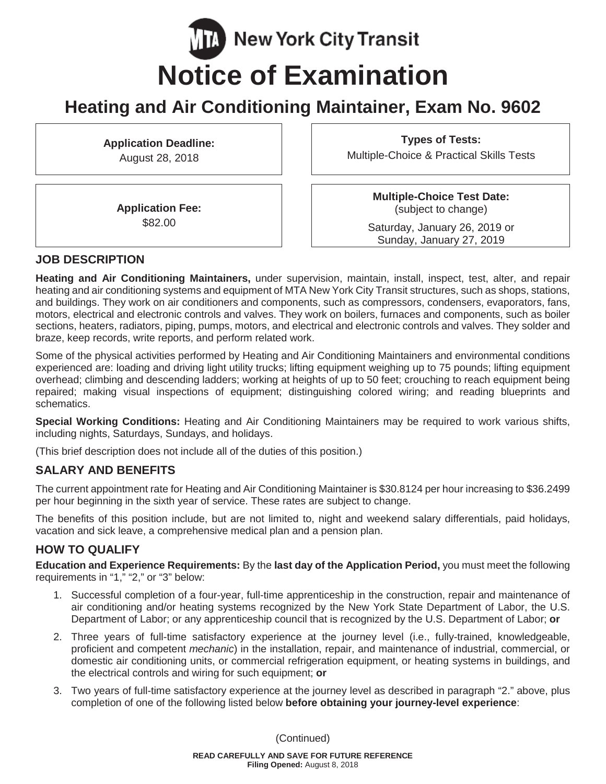# **TA** New York City Transit **Notice of Examination**

## **Heating and Air Conditioning Maintainer, Exam No. 9602**

**Application Deadline:** August 28, 2018

**Types of Tests:** Multiple-Choice & Practical Skills Tests

**Application Fee:** \$82.00

**Multiple-Choice Test Date:** (subject to change)

Saturday, January 26, 2019 or Sunday, January 27, 2019

#### **JOB DESCRIPTION**

**Heating and Air Conditioning Maintainers,** under supervision, maintain, install, inspect, test, alter, and repair heating and air conditioning systems and equipment of MTA New York City Transit structures, such as shops, stations, and buildings. They work on air conditioners and components, such as compressors, condensers, evaporators, fans, motors, electrical and electronic controls and valves. They work on boilers, furnaces and components, such as boiler sections, heaters, radiators, piping, pumps, motors, and electrical and electronic controls and valves. They solder and braze, keep records, write reports, and perform related work.

Some of the physical activities performed by Heating and Air Conditioning Maintainers and environmental conditions experienced are: loading and driving light utility trucks; lifting equipment weighing up to 75 pounds; lifting equipment overhead; climbing and descending ladders; working at heights of up to 50 feet; crouching to reach equipment being repaired; making visual inspections of equipment; distinguishing colored wiring; and reading blueprints and schematics.

**Special Working Conditions:** Heating and Air Conditioning Maintainers may be required to work various shifts, including nights, Saturdays, Sundays, and holidays.

(This brief description does not include all of the duties of this position.)

## **SALARY AND BENEFITS**

The current appointment rate for Heating and Air Conditioning Maintainer is \$30.8124 per hour increasing to \$36.2499 per hour beginning in the sixth year of service. These rates are subject to change.

The benefits of this position include, but are not limited to, night and weekend salary differentials, paid holidays, vacation and sick leave, a comprehensive medical plan and a pension plan.

## **HOW TO QUALIFY**

**Education and Experience Requirements:** By the **last day of the Application Period,** you must meet the following requirements in "1," "2," or "3" below:

- 1. Successful completion of a four-year, full-time apprenticeship in the construction, repair and maintenance of air conditioning and/or heating systems recognized by the New York State Department of Labor, the U.S. Department of Labor; or any apprenticeship council that is recognized by the U.S. Department of Labor; **or**
- 2. Three years of full-time satisfactory experience at the journey level (i.e., fully-trained, knowledgeable, proficient and competent *mechanic*) in the installation, repair, and maintenance of industrial, commercial, or domestic air conditioning units, or commercial refrigeration equipment, or heating systems in buildings, and the electrical controls and wiring for such equipment; **or**
- 3. Two years of full-time satisfactory experience at the journey level as described in paragraph "2." above, plus completion of one of the following listed below **before obtaining your journey-level experience**: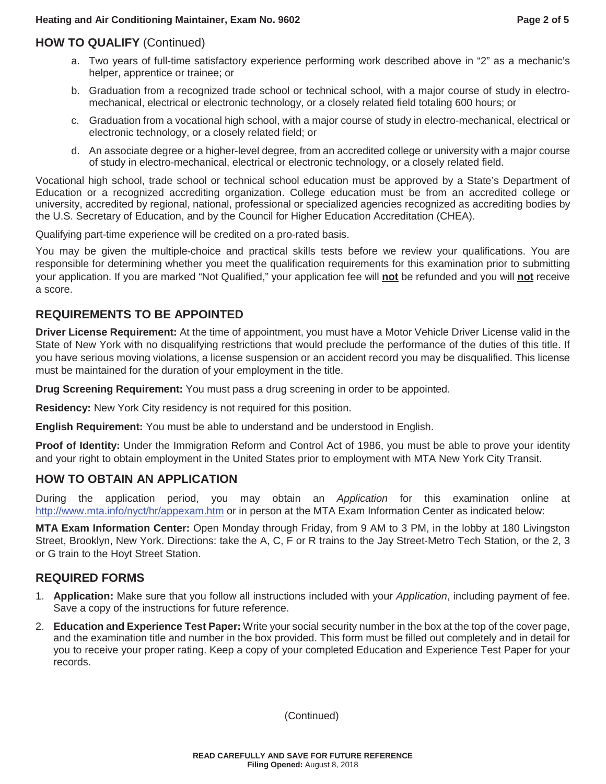## **HOW TO QUALIFY** (Continued)

- a. Two years of full-time satisfactory experience performing work described above in "2" as a mechanic's helper, apprentice or trainee; or
- b. Graduation from a recognized trade school or technical school, with a major course of study in electromechanical, electrical or electronic technology, or a closely related field totaling 600 hours; or
- c. Graduation from a vocational high school, with a major course of study in electro-mechanical, electrical or electronic technology, or a closely related field; or
- d. An associate degree or a higher-level degree, from an accredited college or university with a major course of study in electro-mechanical, electrical or electronic technology, or a closely related field.

Vocational high school, trade school or technical school education must be approved by a State's Department of Education or a recognized accrediting organization. College education must be from an accredited college or university, accredited by regional, national, professional or specialized agencies recognized as accrediting bodies by the U.S. Secretary of Education, and by the Council for Higher Education Accreditation (CHEA).

Qualifying part-time experience will be credited on a pro-rated basis.

You may be given the multiple-choice and practical skills tests before we review your qualifications. You are responsible for determining whether you meet the qualification requirements for this examination prior to submitting your application. If you are marked "Not Qualified," your application fee will **not** be refunded and you will **not** receive a score.

## **REQUIREMENTS TO BE APPOINTED**

**Driver License Requirement:** At the time of appointment, you must have a Motor Vehicle Driver License valid in the State of New York with no disqualifying restrictions that would preclude the performance of the duties of this title. If you have serious moving violations, a license suspension or an accident record you may be disqualified. This license must be maintained for the duration of your employment in the title.

**Drug Screening Requirement:** You must pass a drug screening in order to be appointed.

**Residency:** New York City residency is not required for this position.

**English Requirement:** You must be able to understand and be understood in English.

**Proof of Identity:** Under the Immigration Reform and Control Act of 1986, you must be able to prove your identity and your right to obtain employment in the United States prior to employment with MTA New York City Transit.

#### **HOW TO OBTAIN AN APPLICATION**

During the application period, you may obtain an *Application* for this examination online at http://www.mta.info/nyct/hr/appexam.htm or in person at the MTA Exam Information Center as indicated below:

**MTA Exam Information Center:** Open Monday through Friday, from 9 AM to 3 PM, in the lobby at 180 Livingston Street, Brooklyn, New York. Directions: take the A, C, F or R trains to the Jay Street-Metro Tech Station, or the 2, 3 or G train to the Hoyt Street Station.

#### **REQUIRED FORMS**

- 1. **Application:** Make sure that you follow all instructions included with your *Application*, including payment of fee. Save a copy of the instructions for future reference.
- 2. **Education and Experience Test Paper:** Write your social security number in the box at the top of the cover page, and the examination title and number in the box provided. This form must be filled out completely and in detail for you to receive your proper rating. Keep a copy of your completed Education and Experience Test Paper for your records.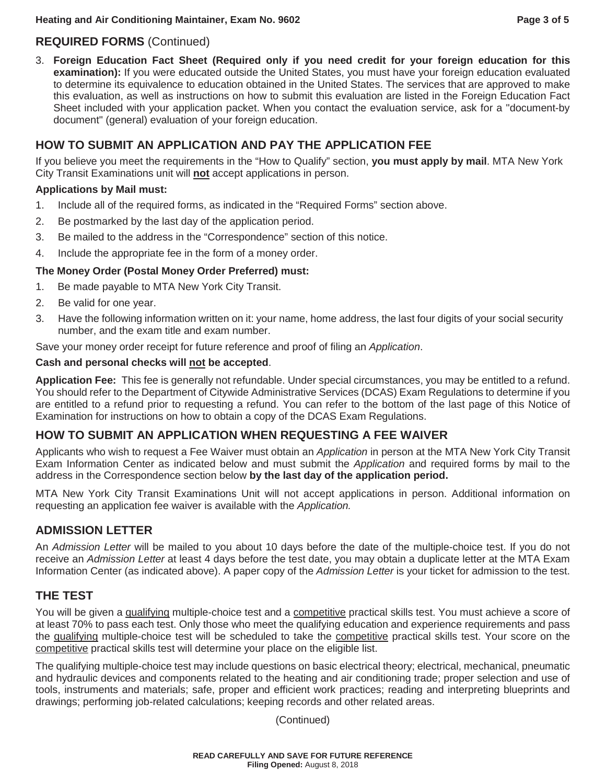## **REQUIRED FORMS** (Continued)

3. **Foreign Education Fact Sheet (Required only if you need credit for your foreign education for this examination):** If you were educated outside the United States, you must have your foreign education evaluated to determine its equivalence to education obtained in the United States. The services that are approved to make this evaluation, as well as instructions on how to submit this evaluation are listed in the Foreign Education Fact Sheet included with your application packet. When you contact the evaluation service, ask for a "document-by document" (general) evaluation of your foreign education.

## **HOW TO SUBMIT AN APPLICATION AND PAY THE APPLICATION FEE**

If you believe you meet the requirements in the "How to Qualify" section, **you must apply by mail**. MTA New York City Transit Examinations unit will **not** accept applications in person.

#### **Applications by Mail must:**

- 1. Include all of the required forms, as indicated in the "Required Forms" section above.
- 2. Be postmarked by the last day of the application period.
- 3. Be mailed to the address in the "Correspondence" section of this notice.
- 4. Include the appropriate fee in the form of a money order.

#### **The Money Order (Postal Money Order Preferred) must:**

- 1. Be made payable to MTA New York City Transit.
- 2. Be valid for one year.
- 3. Have the following information written on it: your name, home address, the last four digits of your social security number, and the exam title and exam number.

Save your money order receipt for future reference and proof of filing an *Application*.

#### **Cash and personal checks will not be accepted**.

**Application Fee:** This fee is generally not refundable. Under special circumstances, you may be entitled to a refund. You should refer to the Department of Citywide Administrative Services (DCAS) Exam Regulations to determine if you are entitled to a refund prior to requesting a refund. You can refer to the bottom of the last page of this Notice of Examination for instructions on how to obtain a copy of the DCAS Exam Regulations.

#### **HOW TO SUBMIT AN APPLICATION WHEN REQUESTING A FEE WAIVER**

Applicants who wish to request a Fee Waiver must obtain an *Application* in person at the MTA New York City Transit Exam Information Center as indicated below and must submit the *Application* and required forms by mail to the address in the Correspondence section below **by the last day of the application period.**

MTA New York City Transit Examinations Unit will not accept applications in person. Additional information on requesting an application fee waiver is available with the *Application.* 

## **ADMISSION LETTER**

An *Admission Letter* will be mailed to you about 10 days before the date of the multiple-choice test. If you do not receive an *Admission Letter* at least 4 days before the test date, you may obtain a duplicate letter at the MTA Exam Information Center (as indicated above). A paper copy of the *Admission Letter* is your ticket for admission to the test.

## **THE TEST**

You will be given a qualifying multiple-choice test and a competitive practical skills test. You must achieve a score of at least 70% to pass each test. Only those who meet the qualifying education and experience requirements and pass the qualifying multiple-choice test will be scheduled to take the competitive practical skills test. Your score on the competitive practical skills test will determine your place on the eligible list.

The qualifying multiple-choice test may include questions on basic electrical theory; electrical, mechanical, pneumatic and hydraulic devices and components related to the heating and air conditioning trade; proper selection and use of tools, instruments and materials; safe, proper and efficient work practices; reading and interpreting blueprints and drawings; performing job-related calculations; keeping records and other related areas.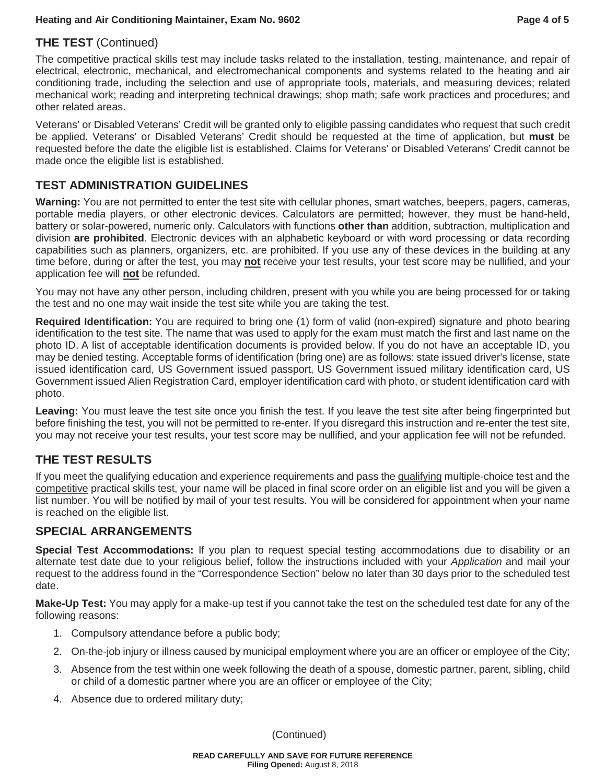### **THE TEST** (Continued)

The competitive practical skills test may include tasks related to the installation, testing, maintenance, and repair of electrical, electronic, mechanical, and electromechanical components and systems related to the heating and air conditioning trade, including the selection and use of appropriate tools, materials, and measuring devices; related mechanical work; reading and interpreting technical drawings; shop math; safe work practices and procedures; and other related areas.

Veterans' or Disabled Veterans' Credit will be granted only to eligible passing candidates who request that such credit be applied. Veterans' or Disabled Veterans' Credit should be requested at the time of application, but **must** be requested before the date the eligible list is established. Claims for Veterans' or Disabled Veterans' Credit cannot be made once the eligible list is established.

#### **TEST ADMINISTRATION GUIDELINES**

**Warning:** You are not permitted to enter the test site with cellular phones, smart watches, beepers, pagers, cameras, portable media players, or other electronic devices. Calculators are permitted; however, they must be hand-held, battery or solar-powered, numeric only. Calculators with functions **other than** addition, subtraction, multiplication and division **are prohibited**. Electronic devices with an alphabetic keyboard or with word processing or data recording capabilities such as planners, organizers, etc. are prohibited. If you use any of these devices in the building at any time before, during or after the test, you may **not** receive your test results, your test score may be nullified, and your application fee will **not** be refunded.

You may not have any other person, including children, present with you while you are being processed for or taking the test and no one may wait inside the test site while you are taking the test.

**Required Identification:** You are required to bring one (1) form of valid (non-expired) signature and photo bearing identification to the test site. The name that was used to apply for the exam must match the first and last name on the photo ID. A list of acceptable identification documents is provided below. If you do not have an acceptable ID, you may be denied testing. Acceptable forms of identification (bring one) are as follows: state issued driver's license, state issued identification card, US Government issued passport, US Government issued military identification card, US Government issued Alien Registration Card, employer identification card with photo, or student identification card with photo.

**Leaving:** You must leave the test site once you finish the test. If you leave the test site after being fingerprinted but before finishing the test, you will not be permitted to re-enter. If you disregard this instruction and re-enter the test site, you may not receive your test results, your test score may be nullified, and your application fee will not be refunded.

## **THE TEST RESULTS**

If you meet the qualifying education and experience requirements and pass the qualifying multiple-choice test and the competitive practical skills test, your name will be placed in final score order on an eligible list and you will be given a list number. You will be notified by mail of your test results. You will be considered for appointment when your name is reached on the eligible list.

#### **SPECIAL ARRANGEMENTS**

**Special Test Accommodations:** If you plan to request special testing accommodations due to disability or an alternate test date due to your religious belief, follow the instructions included with your *Application* and mail your request to the address found in the "Correspondence Section" below no later than 30 days prior to the scheduled test date.

**Make-Up Test:** You may apply for a make-up test if you cannot take the test on the scheduled test date for any of the following reasons:

- 1. Compulsory attendance before a public body;
- 2. On-the-job injury or illness caused by municipal employment where you are an officer or employee of the City;
- 3. Absence from the test within one week following the death of a spouse, domestic partner, parent, sibling, child or child of a domestic partner where you are an officer or employee of the City;
- 4. Absence due to ordered military duty;